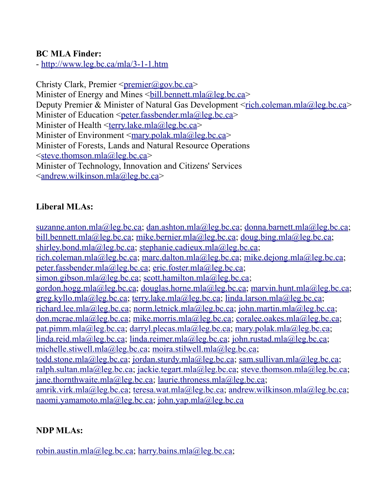#### **BC MLA Finder:**

-<http://www.leg.bc.ca/mla/3-1-1.htm>

Christy Clark, Premier  $\leq$ premier $\omega$ gov.bc.ca> Minister of Energy and Mines  $\leq$ bill.bennett.mla@leg.bc.ca> Deputy Premier & Minister of Natural Gas Development [<rich.coleman.mla@leg.bc.ca>](mailto:rich.coleman.mla@leg.bc.ca) Minister of Education  $\leq$  peter.fassbender.mla@leg.bc.ca> Minister of Health [<terry.lake.mla@leg.bc.ca>](mailto:terry.lake.mla@leg.bc.ca) Minister of Environment  $\leq$ mary.polak.mla@leg.bc.ca> Minister of Forests, Lands and Natural Resource Operations  $\leq$ steve.thomson.mla@leg.bc.ca> Minister of Technology, Innovation and Citizens' Services  $\alpha$  andrew.wilkinson.mla@leg.bc.ca>

### **Liberal MLAs:**

[suzanne.anton.mla@leg.bc.ca;](mailto:suzanne.anton.mla@leg.bc.ca) [dan.ashton.mla@leg.bc.ca;](mailto:dan.ashton.mla@leg.bc.ca) [donna.barnett.mla@leg.bc.ca;](mailto:donna.barnett.mla@leg.bc.ca) [bill.bennett.mla@leg.bc.ca;](mailto:bill.bennett.mla@leg.bc.ca) [mike.bernier.mla@leg.bc.ca;](mailto:mike.bernier.mla@leg.bc.ca) [doug.bing.mla@leg.bc.ca;](mailto:doug.bing.mla@leg.bc.ca) [shirley.bond.mla@leg.bc.ca;](mailto:shirley.bond.mla@leg.bc.ca) [stephanie.cadieux.mla@leg.bc.ca;](mailto:stephanie.cadieux.mla@leg.bc.ca) [rich.coleman.mla@leg.bc.ca;](mailto:rich.coleman.mla@leg.bc.ca) [marc.dalton.mla@leg.bc.ca;](mailto:marc.dalton.mla@leg.bc.ca) [mike.dejong.mla@leg.bc.ca;](mailto:mike.dejong.mla@leg.bc.ca) [peter.fassbender.mla@leg.bc.ca;](mailto:peter.fassbender.mla@leg.bc.ca) [eric.foster.mla@leg.bc.ca;](mailto:eric.foster.mla@leg.bc.ca) [simon.gibson.mla@leg.bc.ca;](mailto:simon.gibson.mla@leg.bc.ca) [scott.hamilton.mla@leg.bc.ca;](mailto:scott.hamilton.mla@leg.bc.ca) [gordon.hogg.mla@leg.bc.ca;](mailto:gordon.hogg.mla@leg.bc.ca) [douglas.horne.mla@leg.bc.ca;](mailto:douglas.horne.mla@leg.bc.ca) [marvin.hunt.mla@leg.bc.ca;](mailto:marvin.hunt.mla@leg.bc.ca) [greg.kyllo.mla@leg.bc.ca;](mailto:greg.kyllo.mla@leg.bc.ca) [terry.lake.mla@leg.bc.ca;](mailto:terry.lake.mla@leg.bc.ca) [linda.larson.mla@leg.bc.ca;](mailto:linda.larson.mla@leg.bc.ca) [richard.lee.mla@leg.bc.ca;](mailto:richard.lee.mla@leg.bc.ca) [norm.letnick.mla@leg.bc.ca;](mailto:norm.letnick.mla@leg.bc.ca) [john.martin.mla@leg.bc.ca;](mailto:john.martin.mla@leg.bc.ca) [don.mcrae.mla@leg.bc.ca;](mailto:don.mcrae.mla@leg.bc.ca) [mike.morris.mla@leg.bc.ca;](mailto:mike.morris.mla@leg.bc.ca) [coralee.oakes.mla@leg.bc.ca;](mailto:coralee.oakes.mla@leg.bc.ca) [pat.pimm.mla@leg.bc.ca;](mailto:pat.pimm.mla@leg.bc.ca) [darryl.plecas.mla@leg.bc.ca;](mailto:darryl.plecas.mla@leg.bc.ca) [mary.polak.mla@leg.bc.ca;](mailto:mary.polak.mla@leg.bc.ca) [linda.reid.mla@leg.bc.ca;](mailto:linda.reid.mla@leg.bc.ca) [linda.reimer.mla@leg.bc.ca;](mailto:linda.reimer.mla@leg.bc.ca) [john.rustad.mla@leg.bc.ca;](mailto:john.rustad.mla@leg.bc.ca) [michelle.stiwell.mla@leg.bc.ca;](mailto:michelle.stiwell.mla@leg.bc.ca) [moira.stilwell.mla@leg.bc.ca;](mailto:moira.stilwell.mla@leg.bc.ca) [todd.stone.mla@leg.bc.ca;](mailto:todd.stone.mla@leg.bc.ca) [jordan.sturdy.mla@leg.bc.ca;](mailto:jordan.sturdy.mla@leg.bc.ca) [sam.sullivan.mla@leg.bc.ca;](mailto:sam.sullivan.mla@leg.bc.ca) [ralph.sultan.mla@leg.bc.ca;](mailto:ralph.sultan.mla@leg.bc.ca) [jackie.tegart.mla@leg.bc.ca;](mailto:jackie.tegart.mla@leg.bc.ca) [steve.thomson.mla@leg.bc.ca;](mailto:steve.thomson.mla@leg.bc.ca) [jane.thornthwaite.mla@leg.bc.ca;](mailto:jane.thornthwaite.mla@leg.bc.ca) [laurie.throness.mla@leg.bc.ca;](mailto:laurie.throness.mla@leg.bc.ca) [amrik.virk.mla@leg.bc.ca;](mailto:amrik.virk.mla@leg.bc.ca) [teresa.wat.mla@leg.bc.ca;](mailto:teresa.wat.mla@leg.bc.ca) [andrew.wilkinson.mla@leg.bc.ca;](mailto:andrew.wilkinson.mla@leg.bc.ca) [naomi.yamamoto.mla@leg.bc.ca;](mailto:naomi.yamamoto.mla@leg.bc.ca) [john.yap.mla@leg.bc.ca](mailto:john.yap.mla@leg.bc.ca)

### **NDP MLAs:**

[robin.austin.mla@leg.bc.ca;](mailto:robin.austin.mla@leg.bc.ca) [harry.bains.mla@leg.bc.ca;](mailto:harry.bains.mla@leg.bc.ca)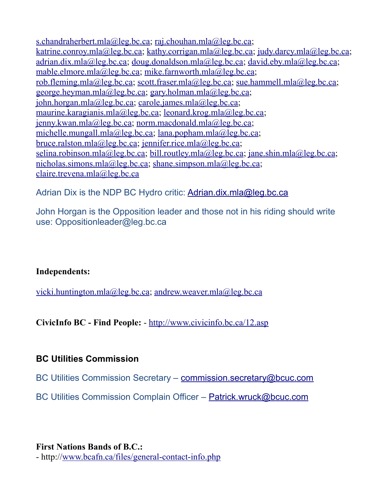[s.chandraherbert.mla@leg.bc.ca;](mailto:s.chandraherbert.mla@leg.bc.ca) [raj.chouhan.mla@leg.bc.ca;](mailto:raj.chouhan.mla@leg.bc.ca) [katrine.conroy.mla@leg.bc.ca;](mailto:katrine.conroy.mla@leg.bc.ca) [kathy.corrigan.mla@leg.bc.ca;](mailto:kathy.corrigan.mla@leg.bc.ca) [judy.darcy.mla@leg.bc.ca;](mailto:judy.darcy.mla@leg.bc.ca) [adrian.dix.mla@leg.bc.ca;](mailto:adrian.dix.mla@leg.bc.ca) [doug.donaldson.mla@leg.bc.ca;](mailto:doug.donaldson.mla@leg.bc.ca) [david.eby.mla@leg.bc.ca;](mailto:david.eby.mla@leg.bc.ca) [mable.elmore.mla@leg.bc.ca;](mailto:mable.elmore.mla@leg.bc.ca) [mike.farnworth.mla@leg.bc.ca;](mailto:mike.farnworth.mla@leg.bc.ca) [rob.fleming.mla@leg.bc.ca;](mailto:rob.fleming.mla@leg.bc.ca) [scott.fraser.mla@leg.bc.ca;](mailto:scott.fraser.mla@leg.bc.ca) [sue.hammell.mla@leg.bc.ca;](mailto:sue.hammell.mla@leg.bc.ca) [george.heyman.mla@leg.bc.ca;](mailto:george.heyman.mla@leg.bc.ca) [gary.holman.mla@leg.bc.ca;](mailto:gary.holman.mla@leg.bc.ca) [john.horgan.mla@leg.bc.ca;](mailto:john.horgan.mla@leg.bc.ca) [carole.james.mla@leg.bc.ca;](mailto:carole.james.mla@leg.bc.ca) [maurine.karagianis.mla@leg.bc.ca;](mailto:maurine.karagianis.mla@leg.bc.ca) [leonard.krog.mla@leg.bc.ca;](mailto:leonard.krog.mla@leg.bc.ca) [jenny.kwan.mla@leg.bc.ca;](mailto:jenny.kwan.mla@leg.bc.ca) [norm.macdonald.mla@leg.bc.ca;](mailto:norm.macdonald.mla@leg.bc.ca) [michelle.mungall.mla@leg.bc.ca;](mailto:michelle.mungall.mla@leg.bc.ca) [lana.popham.mla@leg.bc.ca;](mailto:lana.popham.mla@leg.bc.ca) [bruce.ralston.mla@leg.bc.ca;](mailto:first.last.mla@leg.bc.ca) [jennifer.rice.mla@leg.bc.ca;](mailto:jennifer.rice.mla@leg.bc.ca) [selina.robinson.mla@leg.bc.ca;](mailto:selina.robinson.mla@leg.bc.ca) [bill.routley.mla@leg.bc.ca;](mailto:bill.routley.mla@leg.bc.ca) [jane.shin.mla@leg.bc.ca;](mailto:jane.shin.mla@leg.bc.ca) [nicholas.simons.mla@leg.bc.ca;](mailto:nicholas.simons.mla@leg.bc.ca) [shane.simpson.mla@leg.bc.ca;](mailto:shane.simpson.mla@leg.bc.ca) [claire.trevena.mla@leg.bc.ca](mailto:claire.trevena.mla@leg.bc.ca)

Adrian Dix is the NDP BC Hydro critic: [Adrian.dix.mla@leg.bc.ca](mailto:Adrian.dix.mla@leg.bc.ca)

John Horgan is the Opposition leader and those not in his riding should write use: Oppositionleader@leg.bc.ca

#### **Independents:**

[vicki.huntington.mla@leg.bc.ca;](mailto:vicki.huntington.mla@leg.bc.ca) [andrew.weaver.mla@leg.bc.ca](mailto:andrew.weaver.mla@leg.bc.ca)

**CivicInfo BC - Find People:** -<http://www.civicinfo.bc.ca/12.asp>

#### **BC Utilities Commission**

BC Utilities Commission Secretary – [commission.secretary@bcuc.com](mailto:commission.secretary@bcuc.com)

BC Utilities Commission Complain Officer – [Patrick.wruck@bcuc.com](mailto:Patrick.wruck@bcuc.com)

**First Nations Bands of B.C.:** - http:/[/www.bcafn.ca/files/general-contact-info.php](http://www.bcafn.ca/files/general-contact-info.php)